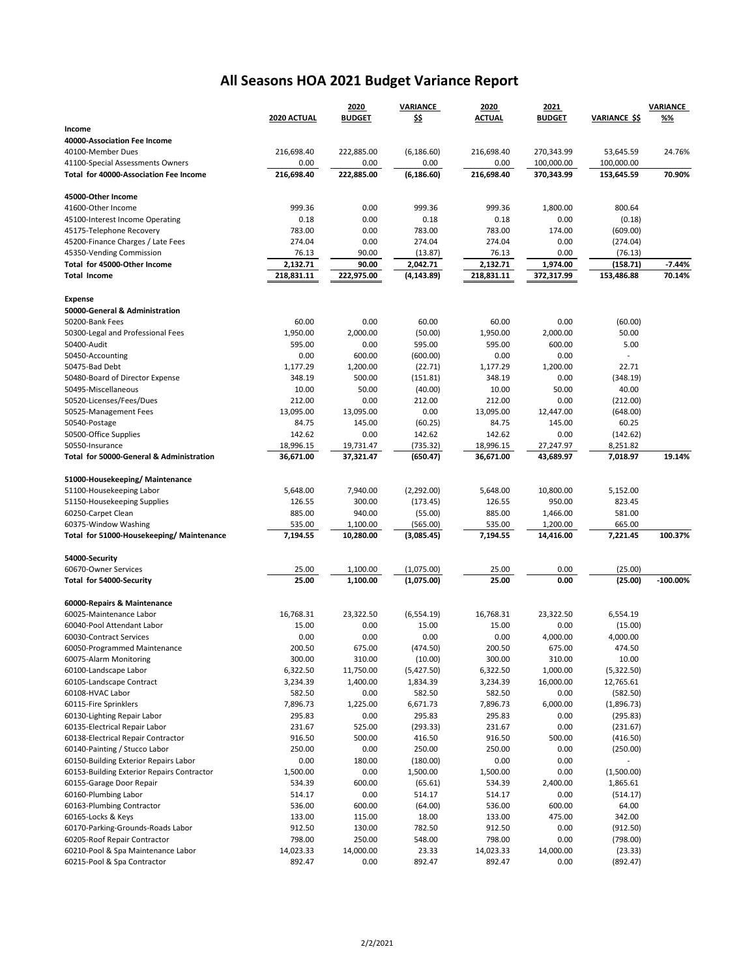## **All Seasons HOA 2021 Budget Variance Report**

|                                                        |             | 2020          | VARIANCE    | 2020       | 2021          |                      | VARIANCE    |
|--------------------------------------------------------|-------------|---------------|-------------|------------|---------------|----------------------|-------------|
|                                                        | 2020 ACTUAL | <b>BUDGET</b> | \$\$        | ACTUAL     | <b>BUDGET</b> | <b>VARIANCE \$\$</b> | %%          |
| Income                                                 |             |               |             |            |               |                      |             |
| 40000-Association Fee Income                           |             |               |             |            |               |                      |             |
| 40100-Member Dues                                      | 216,698.40  | 222,885.00    | (6, 186.60) | 216,698.40 | 270,343.99    | 53,645.59            | 24.76%      |
| 41100-Special Assessments Owners                       | 0.00        | 0.00          | 0.00        | 0.00       | 100,000.00    | 100,000.00           |             |
| Total for 40000-Association Fee Income                 | 216,698.40  | 222,885.00    | (6, 186.60) | 216,698.40 | 370,343.99    | 153,645.59           | 70.90%      |
| 45000-Other Income                                     |             |               |             |            |               |                      |             |
| 41600-Other Income                                     | 999.36      | 0.00          | 999.36      | 999.36     | 1,800.00      | 800.64               |             |
| 45100-Interest Income Operating                        | 0.18        | 0.00          | 0.18        | 0.18       | 0.00          | (0.18)               |             |
| 45175-Telephone Recovery                               | 783.00      | 0.00          | 783.00      | 783.00     | 174.00        | (609.00)             |             |
| 45200-Finance Charges / Late Fees                      | 274.04      | 0.00          | 274.04      | 274.04     | 0.00          | (274.04)             |             |
| 45350-Vending Commission                               | 76.13       | 90.00         | (13.87)     | 76.13      | 0.00          | (76.13)              |             |
| Total for 45000-Other Income                           | 2,132.71    | 90.00         | 2,042.71    | 2,132.71   | 1,974.00      | (158.71)             | $-7.44%$    |
| <b>Total Income</b>                                    | 218,831.11  | 222,975.00    | (4, 143.89) | 218,831.11 | 372,317.99    | 153,486.88           | 70.14%      |
|                                                        |             |               |             |            |               |                      |             |
| <b>Expense</b>                                         |             |               |             |            |               |                      |             |
| 50000-General & Administration                         |             |               |             |            |               |                      |             |
| 50200-Bank Fees                                        | 60.00       | 0.00          | 60.00       | 60.00      | 0.00          | (60.00)              |             |
| 50300-Legal and Professional Fees                      | 1,950.00    | 2,000.00      | (50.00)     | 1,950.00   | 2,000.00      | 50.00                |             |
| 50400-Audit                                            | 595.00      | 0.00          | 595.00      | 595.00     | 600.00        | 5.00                 |             |
| 50450-Accounting                                       | 0.00        | 600.00        | (600.00)    | 0.00       | 0.00          | $\overline{a}$       |             |
| 50475-Bad Debt                                         | 1,177.29    | 1,200.00      | (22.71)     | 1,177.29   | 1,200.00      | 22.71                |             |
| 50480-Board of Director Expense                        | 348.19      | 500.00        | (151.81)    | 348.19     | 0.00          | (348.19)             |             |
| 50495-Miscellaneous                                    | 10.00       | 50.00         | (40.00)     | 10.00      | 50.00         | 40.00                |             |
| 50520-Licenses/Fees/Dues                               | 212.00      | 0.00          | 212.00      | 212.00     | 0.00          | (212.00)             |             |
| 50525-Management Fees                                  | 13,095.00   | 13,095.00     | 0.00        | 13,095.00  | 12,447.00     | (648.00)             |             |
| 50540-Postage                                          | 84.75       | 145.00        | (60.25)     | 84.75      | 145.00        | 60.25                |             |
| 50500-Office Supplies                                  | 142.62      | 0.00          | 142.62      | 142.62     | 0.00          | (142.62)             |             |
| 50550-Insurance                                        | 18,996.15   | 19,731.47     | (735.32)    | 18,996.15  | 27,247.97     | 8,251.82             |             |
| Total for 50000-General & Administration               | 36,671.00   | 37,321.47     | (650.47)    | 36,671.00  | 43,689.97     | 7,018.97             | 19.14%      |
|                                                        |             |               |             |            |               |                      |             |
| 51000-Housekeeping/Maintenance                         |             |               |             |            |               |                      |             |
| 51100-Housekeeping Labor                               | 5,648.00    | 7,940.00      | (2,292.00)  | 5,648.00   | 10,800.00     | 5,152.00             |             |
| 51150-Housekeeping Supplies                            | 126.55      | 300.00        | (173.45)    | 126.55     | 950.00        | 823.45               |             |
| 60250-Carpet Clean                                     | 885.00      | 940.00        | (55.00)     | 885.00     | 1,466.00      | 581.00               |             |
| 60375-Window Washing                                   | 535.00      | 1,100.00      | (565.00)    | 535.00     | 1,200.00      | 665.00               |             |
| Total for 51000-Housekeeping/ Maintenance              | 7,194.55    | 10,280.00     | (3,085.45)  | 7,194.55   | 14,416.00     | 7,221.45             | 100.37%     |
| 54000-Security                                         |             |               |             |            |               |                      |             |
| 60670-Owner Services                                   | 25.00       | 1,100.00      | (1,075.00)  | 25.00      | 0.00          | (25.00)              |             |
| Total for 54000-Security                               | 25.00       | 1,100.00      | (1,075.00)  | 25.00      | 0.00          | (25.00)              | $-100.00\%$ |
|                                                        |             |               |             |            |               |                      |             |
| 60000-Repairs & Maintenance<br>60025-Maintenance Labor | 16,768.31   | 23,322.50     | (6,554.19)  | 16,768.31  | 23,322.50     | 6,554.19             |             |
|                                                        |             |               |             |            |               |                      |             |
| 60040-Pool Attendant Labor                             | 15.00       | 0.00          | 15.00       | 15.00      | 0.00          | (15.00)              |             |
| 60030-Contract Services                                | 0.00        | 0.00          | 0.00        | 0.00       | 4,000.00      | 4,000.00             |             |
| 60050-Programmed Maintenance                           | 200.50      | 675.00        | (474.50)    | 200.50     | 675.00        | 474.50               |             |
| 60075-Alarm Monitoring                                 | 300.00      | 310.00        | (10.00)     | 300.00     | 310.00        | 10.00                |             |
| 60100-Landscape Labor                                  | 6,322.50    | 11,750.00     | (5,427.50)  | 6,322.50   | 1,000.00      | (5,322.50)           |             |
| 60105-Landscape Contract                               | 3,234.39    | 1,400.00      | 1,834.39    | 3,234.39   | 16,000.00     | 12,765.61            |             |
| 60108-HVAC Labor                                       | 582.50      | 0.00          | 582.50      | 582.50     | 0.00          | (582.50)             |             |
| 60115-Fire Sprinklers                                  | 7,896.73    | 1,225.00      | 6,671.73    | 7,896.73   | 6,000.00      | (1,896.73)           |             |
| 60130-Lighting Repair Labor                            | 295.83      | 0.00          | 295.83      | 295.83     | 0.00          | (295.83)             |             |
| 60135-Electrical Repair Labor                          | 231.67      | 525.00        | (293.33)    | 231.67     | 0.00          | (231.67)             |             |
| 60138-Electrical Repair Contractor                     | 916.50      | 500.00        | 416.50      | 916.50     | 500.00        | (416.50)             |             |
| 60140-Painting / Stucco Labor                          | 250.00      | 0.00          | 250.00      | 250.00     | 0.00          | (250.00)             |             |
| 60150-Building Exterior Repairs Labor                  | 0.00        | 180.00        | (180.00)    | 0.00       | 0.00          |                      |             |
| 60153-Building Exterior Repairs Contractor             | 1,500.00    | 0.00          | 1,500.00    | 1,500.00   | 0.00          | (1,500.00)           |             |
| 60155-Garage Door Repair                               | 534.39      | 600.00        | (65.61)     | 534.39     | 2,400.00      | 1,865.61             |             |
| 60160-Plumbing Labor                                   | 514.17      | 0.00          | 514.17      | 514.17     | 0.00          | (514.17)             |             |
| 60163-Plumbing Contractor                              | 536.00      | 600.00        | (64.00)     | 536.00     | 600.00        | 64.00                |             |
| 60165-Locks & Keys                                     | 133.00      | 115.00        | 18.00       | 133.00     | 475.00        | 342.00               |             |
| 60170-Parking-Grounds-Roads Labor                      | 912.50      | 130.00        | 782.50      | 912.50     | 0.00          | (912.50)             |             |
| 60205-Roof Repair Contractor                           | 798.00      | 250.00        | 548.00      | 798.00     | 0.00          | (798.00)             |             |
| 60210-Pool & Spa Maintenance Labor                     | 14,023.33   | 14,000.00     | 23.33       | 14,023.33  | 14,000.00     | (23.33)              |             |
| 60215-Pool & Spa Contractor                            | 892.47      | 0.00          | 892.47      | 892.47     | 0.00          | (892.47)             |             |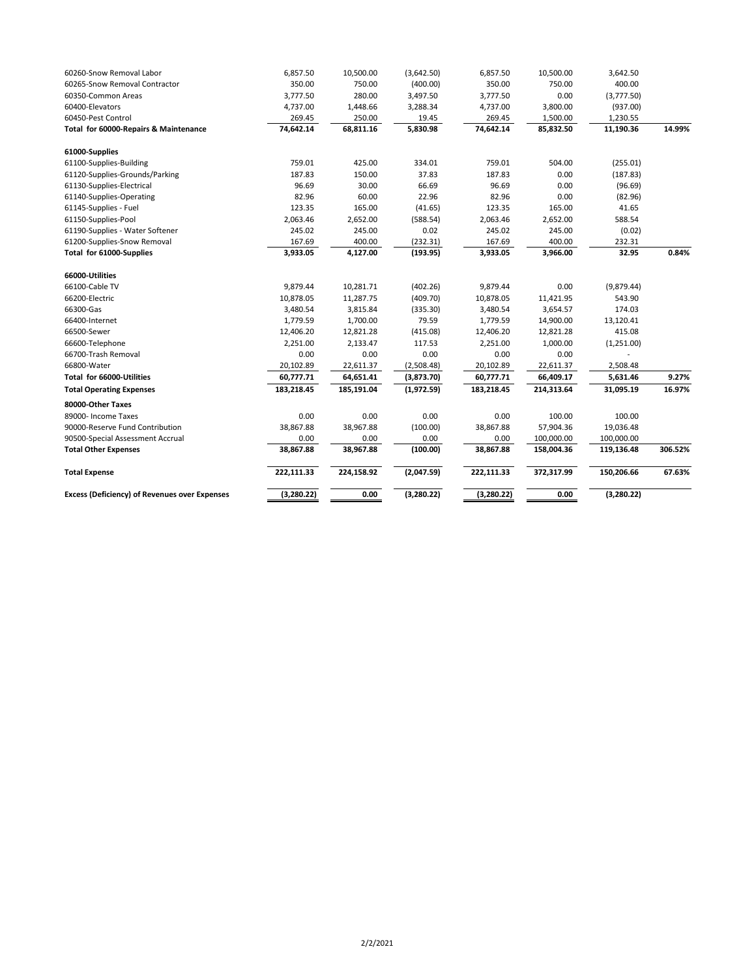| <b>Excess (Deficiency) of Revenues over Expenses</b> | (3,280.22)             | 0.00                   | (3,280.22)               | (3,280.22)             | 0.00                   | (3,280.22)           |         |
|------------------------------------------------------|------------------------|------------------------|--------------------------|------------------------|------------------------|----------------------|---------|
| <b>Total Expense</b>                                 | 222,111.33             | 224,158.92             | (2,047.59)               | 222,111.33             | 372,317.99             | 150,206.66           | 67.63%  |
| <b>Total Other Expenses</b>                          | 38,867.88              | 38,967.88              | (100.00)                 | 38,867.88              | 158,004.36             | 119,136.48           | 306.52% |
| 90500-Special Assessment Accrual                     | 0.00                   | 0.00                   | 0.00                     | 0.00                   | 100,000.00             | 100,000.00           |         |
| 90000-Reserve Fund Contribution                      | 38,867.88              | 38,967.88              | (100.00)                 | 38,867.88              | 57,904.36              | 19,036.48            |         |
| 89000- Income Taxes                                  | 0.00                   | 0.00                   | 0.00                     | 0.00                   | 100.00                 | 100.00               |         |
| 80000-Other Taxes                                    |                        |                        |                          |                        |                        |                      |         |
| <b>Total Operating Expenses</b>                      | 183,218.45             | 185,191.04             | (1,972.59)               | 183,218.45             | 214,313.64             | 31,095.19            |         |
|                                                      |                        |                        |                          |                        |                        |                      | 16.97%  |
| 66800-Water<br>Total for 66000-Utilities             | 20,102.89<br>60,777.71 | 22,611.37<br>64,651.41 | (2,508.48)<br>(3,873.70) | 20,102.89<br>60,777.71 | 22,611.37<br>66,409.17 | 2,508.48<br>5,631.46 | 9.27%   |
|                                                      |                        |                        |                          |                        |                        |                      |         |
| 66600-Telephone<br>66700-Trash Removal               | 0.00                   | 2,133.47<br>0.00       | 117.53<br>0.00           | 2,251.00<br>0.00       | 1,000.00<br>0.00       | (1,251.00)           |         |
| 66500-Sewer                                          | 12,406.20<br>2,251.00  | 12,821.28              | (415.08)                 | 12,406.20              | 12,821.28              | 415.08               |         |
| 66400-Internet                                       | 1,779.59               | 1,700.00               | 79.59                    | 1,779.59               | 14,900.00              | 13,120.41            |         |
| 66300-Gas                                            | 3,480.54               | 3,815.84               | (335.30)                 | 3,480.54               | 3,654.57               | 174.03               |         |
| 66200-Electric                                       | 10,878.05              | 11,287.75              | (409.70)                 | 10,878.05              | 11,421.95              | 543.90               |         |
| 66100-Cable TV                                       | 9,879.44               | 10,281.71              | (402.26)                 | 9,879.44               | 0.00                   | (9,879.44)           |         |
| 66000-Utilities                                      |                        |                        |                          |                        |                        |                      |         |
|                                                      |                        |                        |                          |                        |                        |                      |         |
| Total for 61000-Supplies                             | 3,933.05               | 4,127.00               | (193.95)                 | 3,933.05               | 3,966.00               | 32.95                | 0.84%   |
| 61200-Supplies-Snow Removal                          | 167.69                 | 400.00                 | (232.31)                 | 167.69                 | 400.00                 | 232.31               |         |
| 61190-Supplies - Water Softener                      | 245.02                 | 245.00                 | 0.02                     | 245.02                 | 245.00                 | (0.02)               |         |
| 61150-Supplies-Pool                                  | 2,063.46               | 2,652.00               | (588.54)                 | 2,063.46               | 2,652.00               | 588.54               |         |
| 61145-Supplies - Fuel                                | 123.35                 | 165.00                 | (41.65)                  | 123.35                 | 165.00                 | 41.65                |         |
| 61140-Supplies-Operating                             | 82.96                  | 60.00                  | 22.96                    | 82.96                  | 0.00                   | (82.96)              |         |
| 61130-Supplies-Electrical                            | 96.69                  | 30.00                  | 66.69                    | 96.69                  | 0.00                   | (96.69)              |         |
| 61120-Supplies-Grounds/Parking                       | 187.83                 | 150.00                 | 37.83                    | 187.83                 | 0.00                   | (187.83)             |         |
| 61000-Supplies<br>61100-Supplies-Building            | 759.01                 | 425.00                 | 334.01                   | 759.01                 | 504.00                 | (255.01)             |         |
| Total for 60000-Repairs & Maintenance                | 74,642.14              | 68,811.16              | 5,830.98                 | 74,642.14              | 85,832.50              | 11,190.36            | 14.99%  |
| 60450-Pest Control                                   | 269.45                 | 250.00                 | 19.45                    | 269.45                 | 1,500.00               | 1,230.55             |         |
| 60400-Elevators                                      | 4,737.00               | 1,448.66               | 3,288.34                 | 4,737.00               | 3,800.00               | (937.00)             |         |
| 60350-Common Areas                                   | 3,777.50               | 280.00                 | 3,497.50                 | 3,777.50               | 0.00                   | (3,777.50)           |         |
| 60265-Snow Removal Contractor                        | 350.00                 | 750.00                 | (400.00)                 | 350.00                 | 750.00                 | 400.00               |         |
| 60260-Snow Removal Labor                             | 6,857.50               | 10,500.00              | (3,642.50)               | 6,857.50               | 10,500.00              | 3,642.50             |         |
|                                                      |                        |                        |                          |                        |                        |                      |         |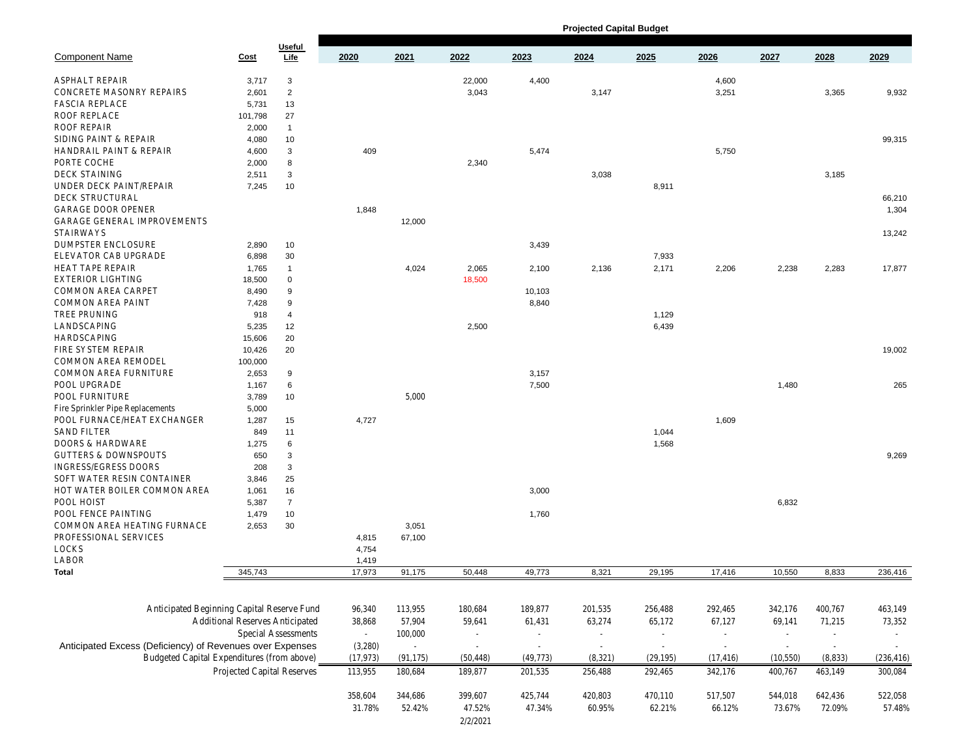|                                                           |             |                     | <b>Projected Capital Budget</b>           |                          |           |           |         |           |           |           |                 |           |
|-----------------------------------------------------------|-------------|---------------------|-------------------------------------------|--------------------------|-----------|-----------|---------|-----------|-----------|-----------|-----------------|-----------|
| <b>Component Name</b>                                     | <b>Cost</b> | Useful<br>Life      | 2020                                      | 2021                     | 2022      | 2023      | 2024    | 2025      | 2026      | 2027      | 2028            | 2029      |
| ASPHALT REPAIR                                            | 3,717       | 3                   |                                           |                          | 22,000    | 4,400     |         |           | 4,600     |           |                 |           |
| CONCRETE MASONRY REPAIRS                                  | 2,601       | $\overline{2}$      |                                           |                          | 3,043     |           | 3,147   |           | 3,251     |           | 3,365           | 9,932     |
| <b>FASCIA REPLACE</b>                                     | 5,731       | 13                  |                                           |                          |           |           |         |           |           |           |                 |           |
| ROOF REPLACE                                              | 101,798     | 27                  |                                           |                          |           |           |         |           |           |           |                 |           |
| ROOF REPAIR                                               |             | $\overline{1}$      |                                           |                          |           |           |         |           |           |           |                 |           |
|                                                           | 2,000       |                     |                                           |                          |           |           |         |           |           |           |                 |           |
| SIDING PAINT & REPAIR                                     | 4,080       | 10                  |                                           |                          |           |           |         |           |           |           |                 | 99,315    |
| <b>HANDRAIL PAINT &amp; REPAIR</b>                        | 4,600       | 3                   | 409                                       |                          |           | 5,474     |         |           | 5,750     |           |                 |           |
| PORTE COCHE                                               | 2,000       | 8                   |                                           |                          | 2,340     |           |         |           |           |           |                 |           |
| <b>DECK STAINING</b>                                      | 2,511       | 3                   |                                           |                          |           |           | 3,038   |           |           |           | 3,185           |           |
| UNDER DECK PAINT/REPAIR                                   | 7,245       | 10                  |                                           |                          |           |           |         | 8,911     |           |           |                 |           |
| <b>DECK STRUCTURAL</b>                                    |             |                     |                                           |                          |           |           |         |           |           |           |                 | 66,210    |
| <b>GARAGE DOOR OPENER</b>                                 |             |                     | 1,848                                     |                          |           |           |         |           |           |           |                 | 1,304     |
| GARAGE GENERAL IMPROVEMENTS<br><b>STAIRWAYS</b>           |             |                     |                                           | 12,000                   |           |           |         |           |           |           |                 | 13,242    |
| DUMPSTER ENCLOSURE                                        | 2,890       | 10                  |                                           |                          |           | 3,439     |         |           |           |           |                 |           |
| ELEVATOR CAB UPGRADE                                      | 6,898       | 30                  |                                           |                          |           |           |         | 7,933     |           |           |                 |           |
| HEAT TAPE REPAIR                                          | 1,765       | $\overline{1}$      |                                           | 4,024                    | 2,065     | 2,100     | 2,136   | 2,171     | 2,206     | 2,238     | 2,283           | 17,877    |
| <b>EXTERIOR LIGHTING</b>                                  | 18,500      | 0                   |                                           |                          | 18,500    |           |         |           |           |           |                 |           |
| COMMON AREA CARPET                                        |             |                     |                                           |                          |           |           |         |           |           |           |                 |           |
|                                                           | 8,490       | 9                   |                                           |                          |           | 10,103    |         |           |           |           |                 |           |
| COMMON AREA PAINT                                         | 7,428       | 9                   |                                           |                          |           | 8,840     |         |           |           |           |                 |           |
| TREE PRUNING                                              | 918         | 4                   |                                           |                          |           |           |         | 1,129     |           |           |                 |           |
| LANDSCAPING                                               | 5,235       | 12                  |                                           |                          | 2,500     |           |         | 6,439     |           |           |                 |           |
| <b>HARDSCAPING</b>                                        | 15,606      | 20                  |                                           |                          |           |           |         |           |           |           |                 |           |
| FIRE SYSTEM REPAIR                                        | 10,426      | 20                  |                                           |                          |           |           |         |           |           |           |                 | 19,002    |
| COMMON AREA REMODEL                                       | 100,000     |                     |                                           |                          |           |           |         |           |           |           |                 |           |
| <b>COMMON AREA FURNITURE</b>                              | 2,653       | 9                   |                                           |                          |           | 3,157     |         |           |           |           |                 |           |
| POOL UPGRADE                                              | 1,167       | 6                   |                                           |                          |           | 7,500     |         |           |           | 1,480     |                 | 265       |
| POOL FURNITURE                                            | 3,789       | 10                  |                                           | 5,000                    |           |           |         |           |           |           |                 |           |
| Fire Sprinkler Pipe Replacements                          | 5,000       |                     |                                           |                          |           |           |         |           |           |           |                 |           |
| POOL FURNACE/HEAT EXCHANGER                               | 1,287       | 15                  | 4,727                                     |                          |           |           |         |           | 1,609     |           |                 |           |
| <b>SAND FILTER</b>                                        | 849         | 11                  |                                           |                          |           |           |         | 1,044     |           |           |                 |           |
| DOORS & HARDWARE                                          | 1,275       | 6                   |                                           |                          |           |           |         | 1,568     |           |           |                 |           |
| <b>GUTTERS &amp; DOWNSPOUTS</b>                           | 650         | 3                   |                                           |                          |           |           |         |           |           |           |                 | 9,269     |
| INGRESS/EGRESS DOORS                                      | 208         | 3                   |                                           |                          |           |           |         |           |           |           |                 |           |
|                                                           |             |                     |                                           |                          |           |           |         |           |           |           |                 |           |
| SOFT WATER RESIN CONTAINER                                | 3,846       | 25                  |                                           |                          |           |           |         |           |           |           |                 |           |
| HOT WATER BOILER COMMON AREA                              | 1,061       | 16                  |                                           |                          |           | 3,000     |         |           |           |           |                 |           |
| POOL HOIST                                                | 5,387       | $\overline{7}$      |                                           |                          |           |           |         |           |           | 6,832     |                 |           |
| POOL FENCE PAINTING                                       | 1,479       | 10                  |                                           |                          |           | 1,760     |         |           |           |           |                 |           |
| COMMON AREA HEATING FURNACE                               | 2,653       | 30                  |                                           | 3,051                    |           |           |         |           |           |           |                 |           |
| PROFESSIONAL SERVICES                                     |             |                     | 4,815                                     | 67,100                   |           |           |         |           |           |           |                 |           |
| <b>LOCKS</b>                                              |             |                     | 4,754                                     |                          |           |           |         |           |           |           |                 |           |
| LABOR                                                     |             |                     | 1,419                                     |                          |           |           |         |           |           |           |                 |           |
| Total                                                     | 345,743     |                     | 17,973                                    | 91,175                   | 50,448    | 49,773    | 8,321   | 29,195    | 17,416    | 10,550    | 8,833           | 236,416   |
|                                                           |             |                     |                                           |                          |           |           |         |           |           |           |                 |           |
|                                                           |             |                     |                                           |                          |           |           |         |           |           |           |                 |           |
| Anticipated Beginning Capital Reserve Fund 340 113,955    |             |                     |                                           |                          | 180,684   | 189,877   | 201,535 | 256,488   | 292,465   |           | 342,176 400,767 | 463,14    |
|                                                           |             |                     | Additional Reserves Anticipated38,868     | 57,904                   | 59,641    | 61,431    | 63,274  | 65,172    | 67,127    |           | 69,141 71,215   | 73,35.    |
|                                                           |             | Special Assessments | $\sim 100$                                | 100,000                  | $\sim$    | $\sim$    | $\sim$  | $\sim$    | $\sim$    | $\sim$    | $\sim$          | $\sim$    |
| Anticipated Excess (Deficiency) of Revenues over Expenses |             |                     | (3,280)                                   | $\overline{\phantom{a}}$ | $\sim$    | $\sim$    | $\sim$  | $\sim$    | $\sim$    | $\sim$    | $\sim$          | $\sim$    |
| Budgeted Capital Expenditures (from above)973)            |             |                     |                                           | (91, 175)                | (50, 448) | (49, 773) | (8,321) | (29, 195) | (17, 416) | (10, 550) | (8,833)         | (236, 41) |
|                                                           |             |                     | Projected Capital Reserves113,955 180,684 |                          | 189,877   | 201,535   | 256,488 | 292,465   | 342,176   |           | 400,767 463,149 | 300,08    |
|                                                           |             |                     |                                           | 358,604 344,686          | 399,607   | 425,744   | 420,803 | 470,110   | 517,507   |           | 544,018 642,436 | 522,05    |
|                                                           |             |                     | 31.78%                                    | 52.42%                   | 47.52%    | 47.34%    | 60.95%  | 62.21%    | 66.12%    |           | 73.67% 72.09%   | 57.48     |
|                                                           |             |                     |                                           |                          | 2/2/2021  |           |         |           |           |           |                 |           |